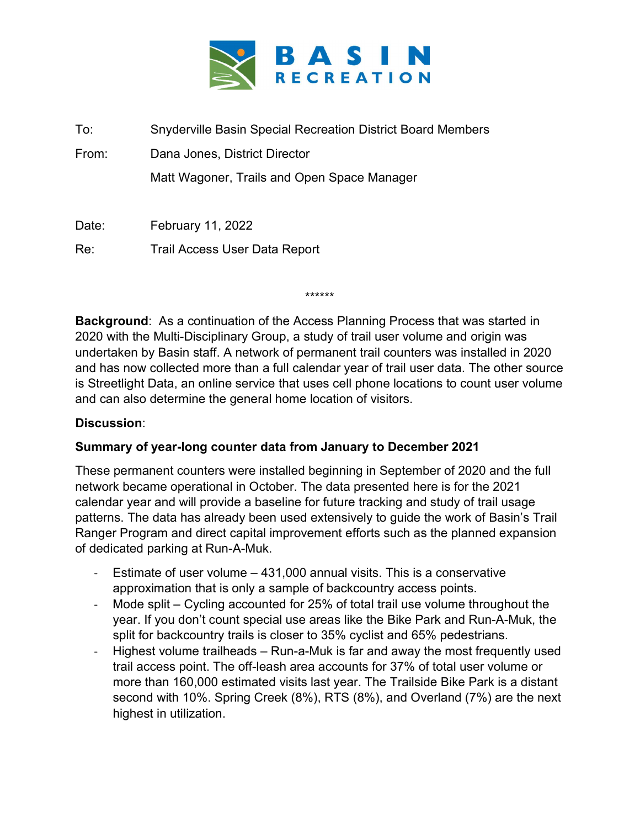

To: Snyderville Basin Special Recreation District Board Members From: Dana Jones, District Director

Matt Wagoner, Trails and Open Space Manager

Date: February 11, 2022

Re: Trail Access User Data Report

\*\*\*\*\*\*

Background: As a continuation of the Access Planning Process that was started in 2020 with the Multi-Disciplinary Group, a study of trail user volume and origin was undertaken by Basin staff. A network of permanent trail counters was installed in 2020 and has now collected more than a full calendar year of trail user data. The other source is Streetlight Data, an online service that uses cell phone locations to count user volume and can also determine the general home location of visitors.

## Discussion:

## Summary of year-long counter data from January to December 2021

These permanent counters were installed beginning in September of 2020 and the full network became operational in October. The data presented here is for the 2021 calendar year and will provide a baseline for future tracking and study of trail usage patterns. The data has already been used extensively to guide the work of Basin's Trail Ranger Program and direct capital improvement efforts such as the planned expansion of dedicated parking at Run-A-Muk.

- Estimate of user volume  $-$  431,000 annual visits. This is a conservative approximation that is only a sample of backcountry access points.
- Mode split Cycling accounted for 25% of total trail use volume throughout the year. If you don't count special use areas like the Bike Park and Run-A-Muk, the split for backcountry trails is closer to 35% cyclist and 65% pedestrians.
- Highest volume trailheads Run-a-Muk is far and away the most frequently used trail access point. The off-leash area accounts for 37% of total user volume or more than 160,000 estimated visits last year. The Trailside Bike Park is a distant second with 10%. Spring Creek (8%), RTS (8%), and Overland (7%) are the next highest in utilization.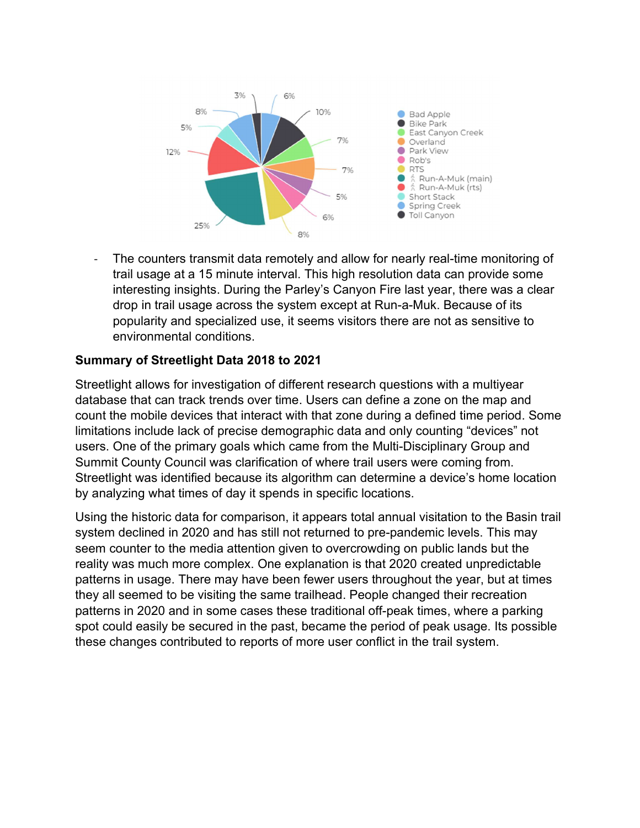

The counters transmit data remotely and allow for nearly real-time monitoring of trail usage at a 15 minute interval. This high resolution data can provide some interesting insights. During the Parley's Canyon Fire last year, there was a clear drop in trail usage across the system except at Run-a-Muk. Because of its popularity and specialized use, it seems visitors there are not as sensitive to environmental conditions.

## Summary of Streetlight Data 2018 to 2021

Streetlight allows for investigation of different research questions with a multiyear database that can track trends over time. Users can define a zone on the map and count the mobile devices that interact with that zone during a defined time period. Some limitations include lack of precise demographic data and only counting "devices" not users. One of the primary goals which came from the Multi-Disciplinary Group and Summit County Council was clarification of where trail users were coming from. Streetlight was identified because its algorithm can determine a device's home location by analyzing what times of day it spends in specific locations.

Using the historic data for comparison, it appears total annual visitation to the Basin trail system declined in 2020 and has still not returned to pre-pandemic levels. This may seem counter to the media attention given to overcrowding on public lands but the reality was much more complex. One explanation is that 2020 created unpredictable patterns in usage. There may have been fewer users throughout the year, but at times they all seemed to be visiting the same trailhead. People changed their recreation patterns in 2020 and in some cases these traditional off-peak times, where a parking spot could easily be secured in the past, became the period of peak usage. Its possible these changes contributed to reports of more user conflict in the trail system.